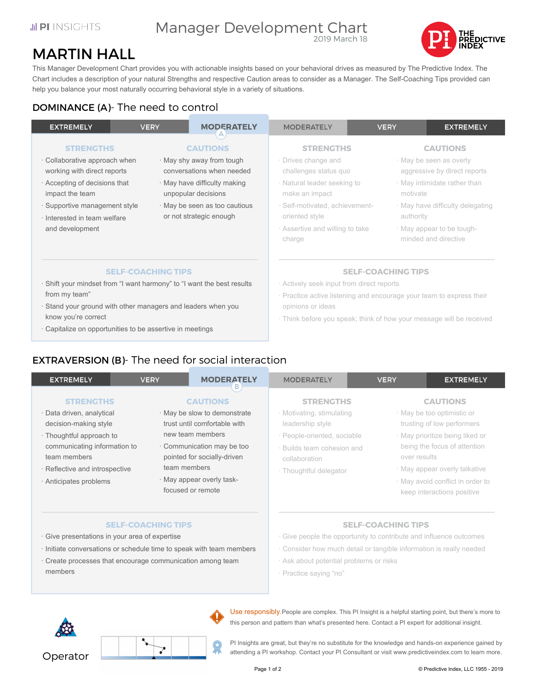### **JI PLINSIGHTS**

### Manager Development Chart 2019 March 18



## MARTIN HALL

This Manager Development Chart provides you with actionable insights based on your behavioral drives as measured by The Predictive Index. The Chart includes a description of your natural Strengths and respective Caution areas to consider as a Manager. The Self-Coaching Tips provided can help you balance your most naturally occurring behavioral style in a variety of situations.

## DOMINANCE (A)- The need to control

| <b>EXTREMELY</b>                                                       | <b>VERY</b>               | <b>MODERATELY</b>                                        | <b>MODERATELY</b>                                                    | <b>VERY</b>               | <b>EXTREMELY</b>                                        |  |
|------------------------------------------------------------------------|---------------------------|----------------------------------------------------------|----------------------------------------------------------------------|---------------------------|---------------------------------------------------------|--|
| <b>STRENGTHS</b>                                                       |                           | <b>CAUTIONS</b>                                          | <b>STRENGTHS</b>                                                     |                           | <b>CAUTIONS</b>                                         |  |
| · Collaborative approach when<br>working with direct reports           |                           | · May shy away from tough<br>conversations when needed   | · Drives change and<br>challenges status quo                         |                           | · May be seen as overly<br>aggressive by direct reports |  |
| Accepting of decisions that<br>impact the team                         |                           | · May have difficulty making<br>unpopular decisions      | · Natural leader seeking to<br>make an impact                        | motivate                  | · May intimidate rather than                            |  |
| · Supportive management style<br>· Interested in team welfare          |                           | · May be seen as too cautious<br>or not strategic enough | · Self-motivated, achievement-<br>oriented style                     | authority                 | · May have difficulty delegating                        |  |
| and development                                                        |                           |                                                          | Assertive and willing to take<br>charge                              |                           | · May appear to be tough-<br>minded and directive       |  |
|                                                                        | <b>SELF-COACHING TIPS</b> |                                                          |                                                                      | <b>SELF-COACHING TIPS</b> |                                                         |  |
| · Shift your mindset from "I want harmony" to "I want the best results |                           |                                                          | Actively seek input from direct reports                              |                           |                                                         |  |
| from my team"                                                          |                           |                                                          | · Practice active listening and encourage your team to express their |                           |                                                         |  |
| · Stand your ground with other managers and leaders when you           |                           |                                                          | opinions or ideas                                                    |                           |                                                         |  |
| know you're correct                                                    |                           |                                                          | · Think before you speak: think of how your message will be received |                           |                                                         |  |

Think before you speak; think of how your message will be received

## EXTRAVERSION (B)- The need for social interaction

· Capitalize on opportunities to be assertive in meetings

| <b>EXTREMELY</b>                                                         | <b>VERY</b>                                                    | <b>MODERATELY</b><br>в                                                      | <b>MODERATELY</b>                                                          | <b>VERY</b>               | <b>EXTREMELY</b>                                                                                |  |
|--------------------------------------------------------------------------|----------------------------------------------------------------|-----------------------------------------------------------------------------|----------------------------------------------------------------------------|---------------------------|-------------------------------------------------------------------------------------------------|--|
| <b>STRENGTHS</b>                                                         |                                                                | <b>CAUTIONS</b>                                                             | <b>STRENGTHS</b>                                                           |                           | <b>CAUTIONS</b>                                                                                 |  |
| · Data driven, analytical<br>decision-making style                       |                                                                | · May be slow to demonstrate<br>trust until comfortable with                | · Motivating, stimulating<br>leadership style                              |                           | · May be too optimistic or<br>trusting of low performers                                        |  |
| · Thoughtful approach to<br>communicating information to<br>team members |                                                                | new team members<br>Communication may be too<br>pointed for socially-driven | · People-oriented, sociable<br>· Builds team cohesion and<br>collaboration | over results              | · May prioritize being liked or<br>being the focus of attention                                 |  |
| · Reflective and introspective<br>· Anticipates problems                 | team members<br>· May appear overly task-<br>focused or remote |                                                                             | · Thoughtful delegator                                                     |                           | · May appear overly talkative<br>· May avoid conflict in order to<br>keep interactions positive |  |
|                                                                          | <b>SELF-COACHING TIPS</b>                                      |                                                                             |                                                                            | <b>SELF-COACHING TIPS</b> |                                                                                                 |  |

- · Give presentations in your area of expertise
- · Initiate conversations or schedule time to speak with team members
- · Create processes that encourage communication among team members

**SELF-COACHING TIPS**

- Give people the opportunity to contribute and influence outcomes
- Consider how much detail or tangible information is really needed
- Ask about potential problems or risks
- Practice saying "no"



Use responsibly.People are complex. This PI Insight is a helpful starting point, but there's more to this person and pattern than what's presented here. Contact a PI expert for additional insight.

PI Insights are great, but they're no substitute for the knowledge and hands-on experience gained by attending a PI workshop. Contact your PI Consultant or visit www.predictiveindex.com to learn more.

Operator